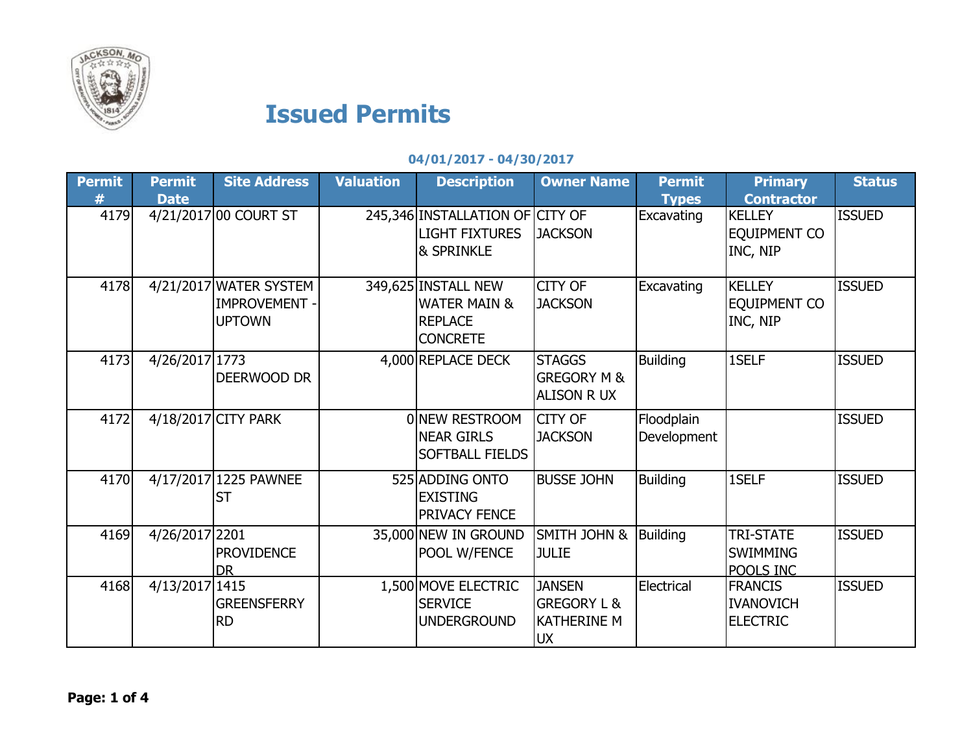

## Issued Permits

## 04/01/2017 - 04/30/2017

| Permit<br># | <b>Permit</b><br><b>Date</b> | <b>Site Address</b>                                           | <b>Valuation</b> | <b>Description</b>                                                                  | <b>Owner Name</b>                                                          | <b>Permit</b><br><b>Types</b> | <b>Primary</b><br><b>Contractor</b>                   | <b>Status</b> |
|-------------|------------------------------|---------------------------------------------------------------|------------------|-------------------------------------------------------------------------------------|----------------------------------------------------------------------------|-------------------------------|-------------------------------------------------------|---------------|
| 4179        |                              | 4/21/2017 00 COURT ST                                         |                  | 245,346 INSTALLATION OF CITY OF<br><b>LIGHT FIXTURES</b><br>& SPRINKLE              | <b>JACKSON</b>                                                             | Excavating                    | <b>KELLEY</b><br>EQUIPMENT CO<br>INC, NIP             | <b>ISSUED</b> |
| 4178        |                              | 4/21/2017 WATER SYSTEM<br><b>IMPROVEMENT</b><br><b>UPTOWN</b> |                  | 349,625 INSTALL NEW<br><b>WATER MAIN &amp;</b><br><b>REPLACE</b><br><b>CONCRETE</b> | <b>CITY OF</b><br><b>JACKSON</b>                                           | Excavating                    | <b>KELLEY</b><br>EQUIPMENT CO<br>INC, NIP             | <b>ISSUED</b> |
| 4173        | 4/26/2017 1773               | DEERWOOD DR                                                   |                  | 4,000 REPLACE DECK                                                                  | <b>STAGGS</b><br><b>GREGORY M &amp;</b><br><b>ALISON R UX</b>              | <b>Building</b>               | 1SELF                                                 | <b>ISSUED</b> |
| 4172        |                              | 4/18/2017 CITY PARK                                           |                  | 0 NEW RESTROOM<br><b>NEAR GIRLS</b><br>SOFTBALL FIELDS                              | <b>CITY OF</b><br><b>JACKSON</b>                                           | Floodplain<br>Development     |                                                       | <b>ISSUED</b> |
| 4170        |                              | 4/17/2017 1225 PAWNEE<br><b>ST</b>                            |                  | 525 ADDING ONTO<br><b>EXISTING</b><br><b>PRIVACY FENCE</b>                          | <b>BUSSE JOHN</b>                                                          | <b>Building</b>               | 1SELF                                                 | <b>ISSUED</b> |
| 4169        | 4/26/2017 2201               | <b>PROVIDENCE</b><br>DR                                       |                  | 35,000 NEW IN GROUND<br>POOL W/FENCE                                                | SMITH JOHN &<br><b>JULIE</b>                                               | <b>Building</b>               | <b>TRI-STATE</b><br><b>SWIMMING</b><br>POOLS INC      | <b>ISSUED</b> |
| 4168        | 4/13/2017 1415               | <b>GREENSFERRY</b><br><b>RD</b>                               |                  | 1,500 MOVE ELECTRIC<br><b>SERVICE</b><br><b>UNDERGROUND</b>                         | <b>JANSEN</b><br><b>GREGORY L &amp;</b><br><b>KATHERINE M</b><br><b>UX</b> | Electrical                    | <b>FRANCIS</b><br><b>IVANOVICH</b><br><b>ELECTRIC</b> | <b>ISSUED</b> |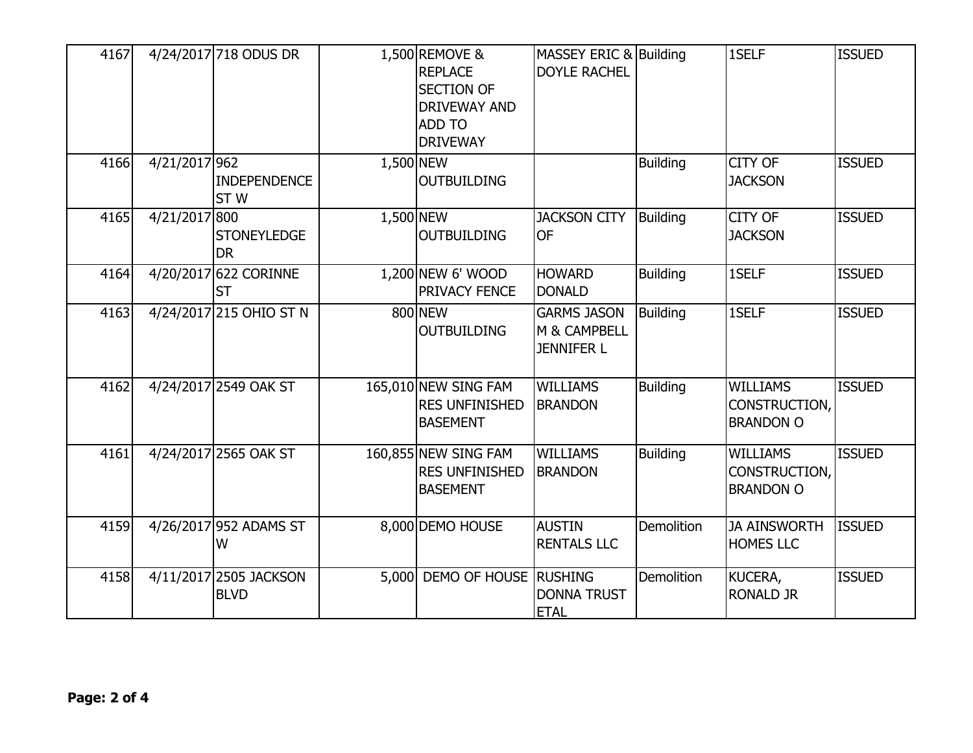| 4167 |               | 4/24/2017 718 ODUS DR                  |           | 1,500 REMOVE &<br><b>REPLACE</b><br><b>SECTION OF</b><br><b>DRIVEWAY AND</b><br><b>ADD TO</b><br><b>DRIVEWAY</b> | MASSEY ERIC & Building<br><b>DOYLE RACHEL</b>           |                   | 1SELF                                                | <b>ISSUED</b> |
|------|---------------|----------------------------------------|-----------|------------------------------------------------------------------------------------------------------------------|---------------------------------------------------------|-------------------|------------------------------------------------------|---------------|
| 4166 | 4/21/2017 962 | <b>INDEPENDENCE</b><br>ST <sub>W</sub> | 1,500 NEW | <b>OUTBUILDING</b>                                                                                               |                                                         | <b>Building</b>   | <b>CITY OF</b><br><b>JACKSON</b>                     | <b>ISSUED</b> |
| 4165 | 4/21/2017 800 | <b>STONEYLEDGE</b><br><b>DR</b>        | 1,500 NEW | <b>OUTBUILDING</b>                                                                                               | <b>JACKSON CITY</b><br><b>OF</b>                        | Building          | <b>CITY OF</b><br><b>JACKSON</b>                     | <b>ISSUED</b> |
| 4164 |               | 4/20/2017 622 CORINNE<br><b>ST</b>     |           | 1,200 NEW 6' WOOD<br><b>PRIVACY FENCE</b>                                                                        | <b>HOWARD</b><br><b>DONALD</b>                          | <b>Building</b>   | 1SELF                                                | <b>ISSUED</b> |
| 4163 |               | 4/24/2017 215 OHIO ST N                |           | 800 NEW<br><b>OUTBUILDING</b>                                                                                    | <b>GARMS JASON</b><br>M & CAMPBELL<br><b>JENNIFER L</b> | <b>Building</b>   | 1SELF                                                | <b>ISSUED</b> |
| 4162 |               | 4/24/2017 2549 OAK ST                  |           | 165,010 NEW SING FAM<br><b>RES UNFINISHED</b><br><b>BASEMENT</b>                                                 | <b>WILLIAMS</b><br><b>BRANDON</b>                       | <b>Building</b>   | <b>WILLIAMS</b><br>CONSTRUCTION,<br><b>BRANDON O</b> | <b>ISSUED</b> |
| 4161 |               | 4/24/2017 2565 OAK ST                  |           | 160,855 NEW SING FAM<br><b>RES UNFINISHED</b><br><b>BASEMENT</b>                                                 | <b>WILLIAMS</b><br><b>BRANDON</b>                       | <b>Building</b>   | <b>WILLIAMS</b><br>CONSTRUCTION,<br><b>BRANDON O</b> | <b>ISSUED</b> |
| 4159 |               | 4/26/2017 952 ADAMS ST<br>W            |           | 8,000 DEMO HOUSE                                                                                                 | <b>AUSTIN</b><br><b>RENTALS LLC</b>                     | <b>Demolition</b> | <b>JA AINSWORTH</b><br><b>HOMES LLC</b>              | <b>ISSUED</b> |
| 4158 |               | 4/11/2017 2505 JACKSON<br><b>BLVD</b>  |           | 5,000 DEMO OF HOUSE                                                                                              | <b>RUSHING</b><br><b>DONNA TRUST</b><br><b>ETAL</b>     | Demolition        | KUCERA,<br><b>RONALD JR</b>                          | <b>ISSUED</b> |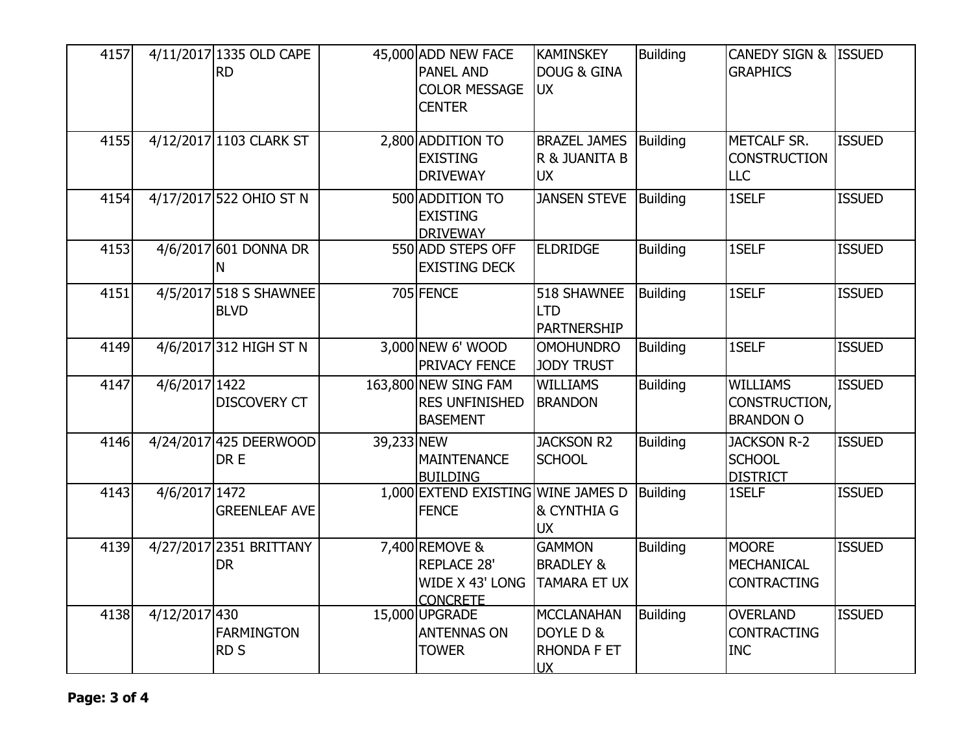| 4157 |               | 4/11/2017 1335 OLD CAPE<br><b>RD</b>  |            | 45,000 ADD NEW FACE<br><b>PANEL AND</b><br><b>COLOR MESSAGE</b><br><b>CENTER</b> | <b>KAMINSKEY</b><br><b>DOUG &amp; GINA</b><br><b>UX</b>      | <b>Building</b> | CANEDY SIGN & ISSUED<br><b>GRAPHICS</b>                 |               |
|------|---------------|---------------------------------------|------------|----------------------------------------------------------------------------------|--------------------------------------------------------------|-----------------|---------------------------------------------------------|---------------|
| 4155 |               | 4/12/2017 1103 CLARK ST               |            | 2,800 ADDITION TO<br><b>EXISTING</b><br><b>DRIVEWAY</b>                          | <b>BRAZEL JAMES</b><br>R & JUANITA B<br><b>UX</b>            | Building        | METCALF SR.<br><b>CONSTRUCTION</b><br><b>LLC</b>        | <b>ISSUED</b> |
| 4154 |               | 4/17/2017 522 OHIO ST N               |            | 500 ADDITION TO<br><b>EXISTING</b><br><b>DRIVEWAY</b>                            | <b>JANSEN STEVE</b>                                          | <b>Building</b> | 1SELF                                                   | <b>ISSUED</b> |
| 4153 |               | 4/6/2017 601 DONNA DR<br>N            |            | 550 ADD STEPS OFF<br><b>EXISTING DECK</b>                                        | <b>ELDRIDGE</b>                                              | <b>Building</b> | 1SELF                                                   | <b>ISSUED</b> |
| 4151 |               | 4/5/2017 518 S SHAWNEE<br><b>BLVD</b> |            | 705 FENCE                                                                        | 518 SHAWNEE<br><b>LTD</b><br><b>PARTNERSHIP</b>              | <b>Building</b> | 1SELF                                                   | <b>ISSUED</b> |
| 4149 |               | 4/6/2017 312 HIGH ST N                |            | 3,000 NEW 6' WOOD<br>PRIVACY FENCE                                               | <b>OMOHUNDRO</b><br><b>JODY TRUST</b>                        | <b>Building</b> | 1SELF                                                   | <b>ISSUED</b> |
| 4147 | 4/6/2017 1422 | <b>DISCOVERY CT</b>                   |            | 163,800 NEW SING FAM<br><b>RES UNFINISHED</b><br><b>BASEMENT</b>                 | <b>WILLIAMS</b><br><b>BRANDON</b>                            | <b>Building</b> | <b>WILLIAMS</b><br>CONSTRUCTION,<br><b>BRANDON O</b>    | <b>ISSUED</b> |
| 4146 |               | 4/24/2017 425 DEERWOOD<br>DR E        | 39,233 NEW | <b>MAINTENANCE</b><br><b>BUILDING</b>                                            | <b>JACKSON R2</b><br><b>SCHOOL</b>                           | Building        | <b>JACKSON R-2</b><br><b>SCHOOL</b><br><b>DISTRICT</b>  | <b>ISSUED</b> |
| 4143 | 4/6/2017 1472 | <b>GREENLEAF AVE</b>                  |            | 1,000 EXTEND EXISTING WINE JAMES D<br><b>FENCE</b>                               | & CYNTHIA G<br><b>UX</b>                                     | <b>Building</b> | 1SELF                                                   | <b>ISSUED</b> |
| 4139 |               | 4/27/2017 2351 BRITTANY<br><b>DR</b>  |            | 7,400 REMOVE &<br><b>REPLACE 28'</b><br>WIDE X 43' LONG<br><b>CONCRETE</b>       | <b>GAMMON</b><br><b>BRADLEY &amp;</b><br><b>TAMARA ET UX</b> | <b>Building</b> | <b>MOORE</b><br><b>MECHANICAL</b><br><b>CONTRACTING</b> | <b>ISSUED</b> |
| 4138 | 4/12/2017 430 | <b>FARMINGTON</b><br><b>RDS</b>       |            | 15,000 UPGRADE<br><b>ANTENNAS ON</b><br><b>TOWER</b>                             | <b>MCCLANAHAN</b><br>DOYLE D &<br>RHONDA F ET<br><b>UX</b>   | <b>Building</b> | <b>OVERLAND</b><br><b>CONTRACTING</b><br><b>INC</b>     | <b>ISSUED</b> |